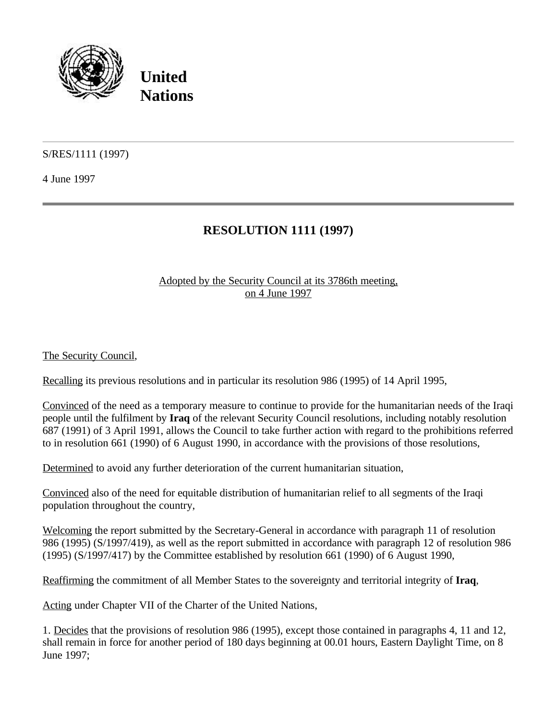

**United Nations**

## S/RES/1111 (1997)

4 June 1997

## **RESOLUTION 1111 (1997)**

## Adopted by the Security Council at its 3786th meeting, on 4 June 1997

The Security Council,

Recalling its previous resolutions and in particular its resolution 986 (1995) of 14 April 1995,

Convinced of the need as a temporary measure to continue to provide for the humanitarian needs of the Iraqi people until the fulfilment by **Iraq** of the relevant Security Council resolutions, including notably resolution 687 (1991) of 3 April 1991, allows the Council to take further action with regard to the prohibitions referred to in resolution 661 (1990) of 6 August 1990, in accordance with the provisions of those resolutions,

Determined to avoid any further deterioration of the current humanitarian situation,

Convinced also of the need for equitable distribution of humanitarian relief to all segments of the Iraqi population throughout the country,

Welcoming the report submitted by the Secretary-General in accordance with paragraph 11 of resolution 986 (1995) (S/1997/419), as well as the report submitted in accordance with paragraph 12 of resolution 986 (1995) (S/1997/417) by the Committee established by resolution 661 (1990) of 6 August 1990,

Reaffirming the commitment of all Member States to the sovereignty and territorial integrity of **Iraq**,

Acting under Chapter VII of the Charter of the United Nations,

1. Decides that the provisions of resolution 986 (1995), except those contained in paragraphs 4, 11 and 12, shall remain in force for another period of 180 days beginning at 00.01 hours, Eastern Daylight Time, on 8 June 1997;